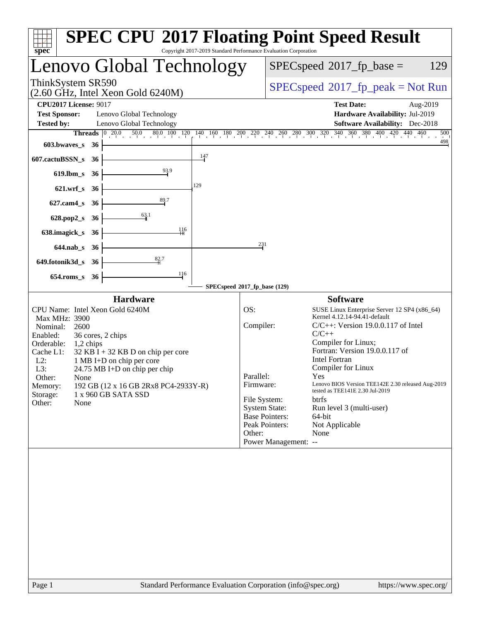| spec <sup>®</sup>                                                                                                                                                 |                                                                                                                                                                                                                                                        | Copyright 2017-2019 Standard Performance Evaluation Corporation                                            | <b>SPEC CPU®2017 Floating Point Speed Result</b>                                                                                                                                                                                                                                                                                                                                                                                                                                                              |
|-------------------------------------------------------------------------------------------------------------------------------------------------------------------|--------------------------------------------------------------------------------------------------------------------------------------------------------------------------------------------------------------------------------------------------------|------------------------------------------------------------------------------------------------------------|---------------------------------------------------------------------------------------------------------------------------------------------------------------------------------------------------------------------------------------------------------------------------------------------------------------------------------------------------------------------------------------------------------------------------------------------------------------------------------------------------------------|
|                                                                                                                                                                   | Lenovo Global Technology                                                                                                                                                                                                                               | $SPEC speed^{\circ}2017$ _fp_base =<br>129                                                                 |                                                                                                                                                                                                                                                                                                                                                                                                                                                                                                               |
| ThinkSystem SR590                                                                                                                                                 | $(2.60 \text{ GHz}, \text{Intel Xeon Gold } 6240 \text{M})$                                                                                                                                                                                            | $SPEC speed^{\circ}2017\_fp\_peak = Not Run$                                                               |                                                                                                                                                                                                                                                                                                                                                                                                                                                                                                               |
| <b>CPU2017 License: 9017</b><br><b>Test Sponsor:</b><br><b>Tested by:</b>                                                                                         | Lenovo Global Technology<br>Lenovo Global Technology                                                                                                                                                                                                   | <b>Test Date:</b><br>Aug-2019<br>Hardware Availability: Jul-2019<br><b>Software Availability:</b> Dec-2018 |                                                                                                                                                                                                                                                                                                                                                                                                                                                                                                               |
| Threads<br>603.bwaves_s<br>607.cactuBSSN_s<br>$619$ .lbm_s<br>621.wrf_s 36<br>$627$ .cam $4_s$<br>628.pop2_s<br>638.imagick_s<br>644.nab_s 36<br>649.fotonik3d_s  | $\begin{array}{ c c c c c c c c c c c c } \hline 0 & 20.0 & 50.0 & 80.0 & 100 & 120 \\ \hline \end{array}$<br>- 36<br>36<br>36<br>129<br>$\frac{89.7}{4}$<br>36<br>$\frac{63.1}{4}$<br>36<br>116<br>36<br>82.7<br>- 36                                 | 147<br>231                                                                                                 | $140 \quad 160 \quad 180 \quad 200 \quad 220 \quad 240 \quad 260 \quad 280 \quad 300 \quad 320 \quad 340 \quad 360 \quad 380 \quad 400 \quad 420 \quad 440 \quad 460$<br>500<br>498                                                                                                                                                                                                                                                                                                                           |
| $654$ .roms_s                                                                                                                                                     | 116<br>- 36                                                                                                                                                                                                                                            | SPECspeed®2017_fp_base (129)                                                                               |                                                                                                                                                                                                                                                                                                                                                                                                                                                                                                               |
| Max MHz: 3900<br>Nominal:<br>2600<br>Enabled:<br>Orderable:<br>1,2 chips<br>Cache L1:<br>$L2$ :<br>L3:<br>Other:<br>None<br>Memory:<br>Storage:<br>Other:<br>None | <b>Hardware</b><br>CPU Name: Intel Xeon Gold 6240M<br>36 cores, 2 chips<br>$32$ KB I + 32 KB D on chip per core<br>1 MB I+D on chip per core<br>$24.75 \text{ MB I+D}$ on chip per chip<br>192 GB (12 x 16 GB 2Rx8 PC4-2933Y-R)<br>1 x 960 GB SATA SSD | OS:<br>Compiler:<br>Parallel:<br>Firmware:<br>File System:<br><b>System State:</b><br>Other:               | <b>Software</b><br>SUSE Linux Enterprise Server 12 SP4 (x86_64)<br>Kernel 4.12.14-94.41-default<br>$C/C++$ : Version 19.0.0.117 of Intel<br>$C/C++$<br>Compiler for Linux;<br>Fortran: Version 19.0.0.117 of<br><b>Intel Fortran</b><br>Compiler for Linux<br>Yes<br>Lenovo BIOS Version TEE142E 2.30 released Aug-2019<br>tested as TEE141E 2.30 Jul-2019<br><b>btrfs</b><br>Run level 3 (multi-user)<br><b>Base Pointers:</b><br>64-bit<br>Peak Pointers:<br>Not Applicable<br>None<br>Power Management: -- |
| Page 1                                                                                                                                                            |                                                                                                                                                                                                                                                        |                                                                                                            | Standard Performance Evaluation Corporation (info@spec.org)<br>https://www.spec.org/                                                                                                                                                                                                                                                                                                                                                                                                                          |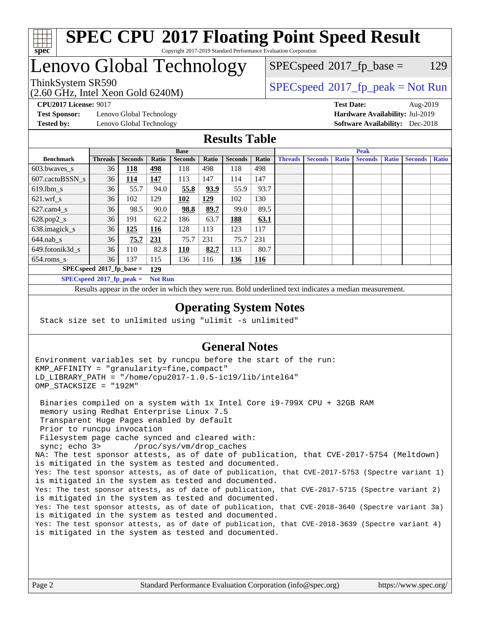

#### **[SPEC CPU](http://www.spec.org/auto/cpu2017/Docs/result-fields.html#SPECCPU2017FloatingPointSpeedResult)[2017 Floating Point Speed Result](http://www.spec.org/auto/cpu2017/Docs/result-fields.html#SPECCPU2017FloatingPointSpeedResult)** Copyright 2017-2019 Standard Performance Evaluation Corporation

## Lenovo Global Technology

(2.60 GHz, Intel Xeon Gold 6240M)

ThinkSystem SR590<br>  $SPEC speed^{\circ}2017$  [p\_peak = Not Run  $SPEC speed^{\circ}2017\_fp\_base = 129$ 

**[Test Sponsor:](http://www.spec.org/auto/cpu2017/Docs/result-fields.html#TestSponsor)** Lenovo Global Technology **[Hardware Availability:](http://www.spec.org/auto/cpu2017/Docs/result-fields.html#HardwareAvailability)** Jul-2019

**[CPU2017 License:](http://www.spec.org/auto/cpu2017/Docs/result-fields.html#CPU2017License)** 9017 **[Test Date:](http://www.spec.org/auto/cpu2017/Docs/result-fields.html#TestDate)** Aug-2019

**[Tested by:](http://www.spec.org/auto/cpu2017/Docs/result-fields.html#Testedby)** Lenovo Global Technology **[Software Availability:](http://www.spec.org/auto/cpu2017/Docs/result-fields.html#SoftwareAvailability)** Dec-2018

### **[Results Table](http://www.spec.org/auto/cpu2017/Docs/result-fields.html#ResultsTable)**

|                             | <b>Base</b>                 |                |                |                |       | <b>Peak</b>    |            |                |                |              |                |              |                |              |
|-----------------------------|-----------------------------|----------------|----------------|----------------|-------|----------------|------------|----------------|----------------|--------------|----------------|--------------|----------------|--------------|
| <b>Benchmark</b>            | <b>Threads</b>              | <b>Seconds</b> | Ratio          | <b>Seconds</b> | Ratio | <b>Seconds</b> | Ratio      | <b>Threads</b> | <b>Seconds</b> | <b>Ratio</b> | <b>Seconds</b> | <b>Ratio</b> | <b>Seconds</b> | <b>Ratio</b> |
| 603.bwayes s                | 36                          | <u>118</u>     | 498            | 118            | 498   | 118            | 498        |                |                |              |                |              |                |              |
| 607.cactuBSSN s             | 36                          | <u>114</u>     | 147            | 113            | 147   | 114            | 147        |                |                |              |                |              |                |              |
| $619.$ lbm s                | 36                          | 55.7           | 94.0           | 55.8           | 93.9  | 55.9           | 93.7       |                |                |              |                |              |                |              |
| $621.wrf$ s                 | 36                          | 102            | 129            | 102            | 129   | 102            | 130        |                |                |              |                |              |                |              |
| $627$ .cam4 s               | 36                          | 98.5           | 90.0           | 98.8           | 89.7  | 99.0           | 89.5       |                |                |              |                |              |                |              |
| $628.pop2_s$                | 36                          | 191            | 62.2           | 186            | 63.7  | 188            | 63.1       |                |                |              |                |              |                |              |
| 638.imagick_s               | 36                          | 125            | 116            | 128            | 113   | 123            | 117        |                |                |              |                |              |                |              |
| $644$ .nab s                | 36                          | <u>75.7</u>    | <u>231</u>     | 75.7           | 231   | 75.7           | 231        |                |                |              |                |              |                |              |
| 649.fotonik3d s             | 36                          | 110            | 82.8           | <u>110</u>     | 82.7  | 113            | 80.7       |                |                |              |                |              |                |              |
| $654$ .roms s               | 36                          | 137            | 115            | 136            | 116   | 136            | <u>116</u> |                |                |              |                |              |                |              |
| $SPECspeed*2017_fp\_base =$ |                             |                | 129            |                |       |                |            |                |                |              |                |              |                |              |
|                             | $SPECspeed*2017_fp\_peak =$ |                | <b>Not Run</b> |                |       |                |            |                |                |              |                |              |                |              |

Results appear in the [order in which they were run.](http://www.spec.org/auto/cpu2017/Docs/result-fields.html#RunOrder) Bold underlined text [indicates a median measurement](http://www.spec.org/auto/cpu2017/Docs/result-fields.html#Median).

#### **[Operating System Notes](http://www.spec.org/auto/cpu2017/Docs/result-fields.html#OperatingSystemNotes)**

Stack size set to unlimited using "ulimit -s unlimited"

### **[General Notes](http://www.spec.org/auto/cpu2017/Docs/result-fields.html#GeneralNotes)**

Environment variables set by runcpu before the start of the run: KMP\_AFFINITY = "granularity=fine,compact" LD\_LIBRARY\_PATH = "/home/cpu2017-1.0.5-ic19/lib/intel64" OMP\_STACKSIZE = "192M"

 Binaries compiled on a system with 1x Intel Core i9-799X CPU + 32GB RAM memory using Redhat Enterprise Linux 7.5 Transparent Huge Pages enabled by default Prior to runcpu invocation Filesystem page cache synced and cleared with: sync; echo 3> /proc/sys/vm/drop\_caches NA: The test sponsor attests, as of date of publication, that CVE-2017-5754 (Meltdown) is mitigated in the system as tested and documented. Yes: The test sponsor attests, as of date of publication, that CVE-2017-5753 (Spectre variant 1) is mitigated in the system as tested and documented. Yes: The test sponsor attests, as of date of publication, that CVE-2017-5715 (Spectre variant 2) is mitigated in the system as tested and documented. Yes: The test sponsor attests, as of date of publication, that CVE-2018-3640 (Spectre variant 3a) is mitigated in the system as tested and documented. Yes: The test sponsor attests, as of date of publication, that CVE-2018-3639 (Spectre variant 4) is mitigated in the system as tested and documented.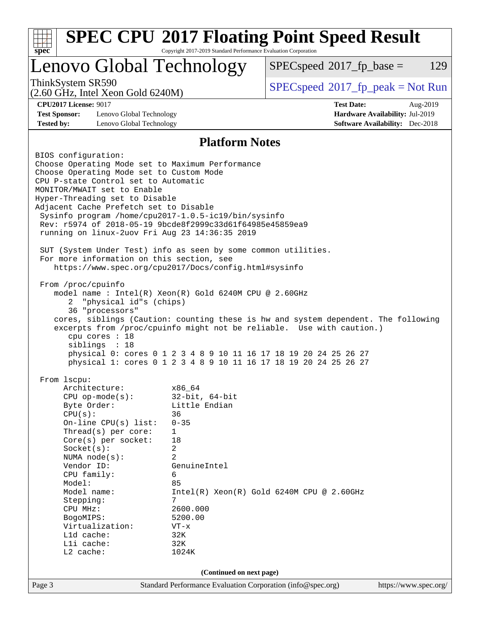| <b>SPEC CPU®2017 Floating Point Speed Result</b><br>Copyright 2017-2019 Standard Performance Evaluation Corporation<br>$spec^*$                                                                                                                                                                                                                                                                                                                                                                                                                                                                                                                                                                                                                                                                                                                                                                                                                                                                                                                                                                   |                                                                                                                                                                                               |                                              |                                                                                       |     |  |
|---------------------------------------------------------------------------------------------------------------------------------------------------------------------------------------------------------------------------------------------------------------------------------------------------------------------------------------------------------------------------------------------------------------------------------------------------------------------------------------------------------------------------------------------------------------------------------------------------------------------------------------------------------------------------------------------------------------------------------------------------------------------------------------------------------------------------------------------------------------------------------------------------------------------------------------------------------------------------------------------------------------------------------------------------------------------------------------------------|-----------------------------------------------------------------------------------------------------------------------------------------------------------------------------------------------|----------------------------------------------|---------------------------------------------------------------------------------------|-----|--|
| Lenovo Global Technology                                                                                                                                                                                                                                                                                                                                                                                                                                                                                                                                                                                                                                                                                                                                                                                                                                                                                                                                                                                                                                                                          |                                                                                                                                                                                               | $SPEC speed^{\circ}2017\_fp\_base =$         |                                                                                       | 129 |  |
| ThinkSystem SR590<br>$(2.60 \text{ GHz}, \text{Intel Xeon Gold } 6240 \text{M})$                                                                                                                                                                                                                                                                                                                                                                                                                                                                                                                                                                                                                                                                                                                                                                                                                                                                                                                                                                                                                  |                                                                                                                                                                                               | $SPEC speed^{\circ}2017\_fp\_peak = Not Run$ |                                                                                       |     |  |
| <b>CPU2017 License: 9017</b><br><b>Test Sponsor:</b><br>Lenovo Global Technology<br><b>Tested by:</b><br>Lenovo Global Technology                                                                                                                                                                                                                                                                                                                                                                                                                                                                                                                                                                                                                                                                                                                                                                                                                                                                                                                                                                 |                                                                                                                                                                                               | <b>Test Date:</b>                            | Aug-2019<br>Hardware Availability: Jul-2019<br><b>Software Availability:</b> Dec-2018 |     |  |
|                                                                                                                                                                                                                                                                                                                                                                                                                                                                                                                                                                                                                                                                                                                                                                                                                                                                                                                                                                                                                                                                                                   | <b>Platform Notes</b>                                                                                                                                                                         |                                              |                                                                                       |     |  |
| BIOS configuration:<br>Choose Operating Mode set to Maximum Performance<br>Choose Operating Mode set to Custom Mode<br>CPU P-state Control set to Automatic<br>MONITOR/MWAIT set to Enable<br>Hyper-Threading set to Disable<br>Adjacent Cache Prefetch set to Disable<br>Sysinfo program /home/cpu2017-1.0.5-ic19/bin/sysinfo<br>Rev: r5974 of 2018-05-19 9bcde8f2999c33d61f64985e45859ea9<br>running on linux-2uov Fri Aug 23 14:36:35 2019<br>SUT (System Under Test) info as seen by some common utilities.<br>For more information on this section, see<br>https://www.spec.org/cpu2017/Docs/config.html#sysinfo<br>From /proc/cpuinfo<br>model name : Intel(R) Xeon(R) Gold 6240M CPU @ 2.60GHz<br>"physical id"s (chips)<br>2<br>36 "processors"<br>cores, siblings (Caution: counting these is hw and system dependent. The following<br>excerpts from /proc/cpuinfo might not be reliable. Use with caution.)<br>cpu cores : 18<br>siblings : 18<br>physical 0: cores 0 1 2 3 4 8 9 10 11 16 17 18 19 20 24 25 26 27<br>physical 1: cores 0 1 2 3 4 8 9 10 11 16 17 18 19 20 24 25 26 27 |                                                                                                                                                                                               |                                              |                                                                                       |     |  |
| From lscpu:<br>Architecture:<br>$CPU$ op-mode(s):<br>Byte Order:<br>CPU(s):<br>On-line CPU(s) list:<br>Thread(s) per core:<br>Core(s) per socket:<br>Socket(s):<br>NUMA node(s):<br>Vendor ID:<br>CPU family:<br>Model:<br>Model name:<br>Stepping:<br>CPU MHz:<br>BogoMIPS:<br>Virtualization:<br>L1d cache:<br>Lli cache:<br>L2 cache:                                                                                                                                                                                                                                                                                                                                                                                                                                                                                                                                                                                                                                                                                                                                                          | x86_64<br>$32$ -bit, $64$ -bit<br>Little Endian<br>36<br>$0 - 35$<br>1<br>18<br>2<br>$\overline{2}$<br>GenuineIntel<br>6<br>85<br>7<br>2600.000<br>5200.00<br>$VT - x$<br>32K<br>32K<br>1024K | $Intel(R) Xeon(R) Gold 6240M CPU @ 2.60GHz$  |                                                                                       |     |  |
| Page 3                                                                                                                                                                                                                                                                                                                                                                                                                                                                                                                                                                                                                                                                                                                                                                                                                                                                                                                                                                                                                                                                                            | (Continued on next page)<br>Standard Performance Evaluation Corporation (info@spec.org)                                                                                                       |                                              | https://www.spec.org/                                                                 |     |  |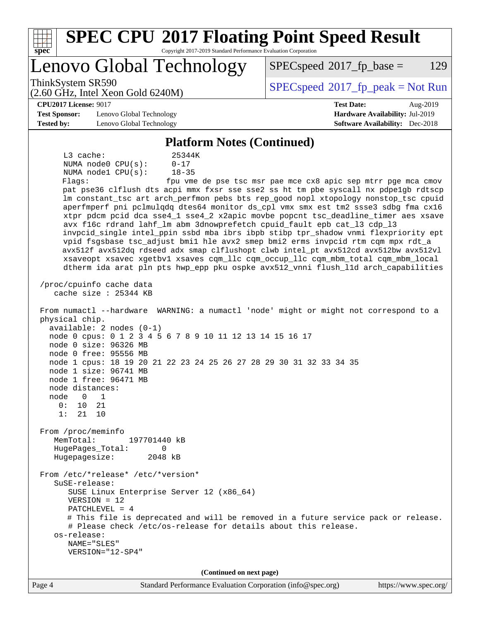| <b>SPEC CPU®2017 Floating Point Speed Result</b><br>$spec*$<br>Copyright 2017-2019 Standard Performance Evaluation Corporation                                                                                                                                                                                                                                                                                                                                                                                                                                                                                                                                                                                                                                                                                                                                                                                                                                                                                                                                                                                                                                                                                                                                                                                                                                                                                                                                                                                                                                                                                                                                                                                                                                                                                                                                                                                                                                                                                                                                          |                                                                           |  |  |  |  |  |
|-------------------------------------------------------------------------------------------------------------------------------------------------------------------------------------------------------------------------------------------------------------------------------------------------------------------------------------------------------------------------------------------------------------------------------------------------------------------------------------------------------------------------------------------------------------------------------------------------------------------------------------------------------------------------------------------------------------------------------------------------------------------------------------------------------------------------------------------------------------------------------------------------------------------------------------------------------------------------------------------------------------------------------------------------------------------------------------------------------------------------------------------------------------------------------------------------------------------------------------------------------------------------------------------------------------------------------------------------------------------------------------------------------------------------------------------------------------------------------------------------------------------------------------------------------------------------------------------------------------------------------------------------------------------------------------------------------------------------------------------------------------------------------------------------------------------------------------------------------------------------------------------------------------------------------------------------------------------------------------------------------------------------------------------------------------------------|---------------------------------------------------------------------------|--|--|--|--|--|
| Lenovo Global Technology                                                                                                                                                                                                                                                                                                                                                                                                                                                                                                                                                                                                                                                                                                                                                                                                                                                                                                                                                                                                                                                                                                                                                                                                                                                                                                                                                                                                                                                                                                                                                                                                                                                                                                                                                                                                                                                                                                                                                                                                                                                | 129<br>$SPEC speed^{\circ}2017$ fp base =                                 |  |  |  |  |  |
| ThinkSystem SR590<br>$(2.60 \text{ GHz}, \text{Intel Xeon Gold } 6240 \text{M})$                                                                                                                                                                                                                                                                                                                                                                                                                                                                                                                                                                                                                                                                                                                                                                                                                                                                                                                                                                                                                                                                                                                                                                                                                                                                                                                                                                                                                                                                                                                                                                                                                                                                                                                                                                                                                                                                                                                                                                                        | $SPEC speed^{\circ}2017\_fp\_peak = Not Run$                              |  |  |  |  |  |
| <b>CPU2017 License: 9017</b>                                                                                                                                                                                                                                                                                                                                                                                                                                                                                                                                                                                                                                                                                                                                                                                                                                                                                                                                                                                                                                                                                                                                                                                                                                                                                                                                                                                                                                                                                                                                                                                                                                                                                                                                                                                                                                                                                                                                                                                                                                            | <b>Test Date:</b><br>Aug-2019                                             |  |  |  |  |  |
| <b>Test Sponsor:</b><br>Lenovo Global Technology<br><b>Tested by:</b><br>Lenovo Global Technology                                                                                                                                                                                                                                                                                                                                                                                                                                                                                                                                                                                                                                                                                                                                                                                                                                                                                                                                                                                                                                                                                                                                                                                                                                                                                                                                                                                                                                                                                                                                                                                                                                                                                                                                                                                                                                                                                                                                                                       | Hardware Availability: Jul-2019<br><b>Software Availability:</b> Dec-2018 |  |  |  |  |  |
|                                                                                                                                                                                                                                                                                                                                                                                                                                                                                                                                                                                                                                                                                                                                                                                                                                                                                                                                                                                                                                                                                                                                                                                                                                                                                                                                                                                                                                                                                                                                                                                                                                                                                                                                                                                                                                                                                                                                                                                                                                                                         |                                                                           |  |  |  |  |  |
| <b>Platform Notes (Continued)</b><br>$L3$ cache:<br>25344K<br>NUMA $node0$ $CPU(s)$ :<br>$0 - 17$<br>NUMA nodel CPU(s):<br>$18 - 35$<br>Flags:<br>fpu vme de pse tsc msr pae mce cx8 apic sep mtrr pge mca cmov<br>pat pse36 clflush dts acpi mmx fxsr sse sse2 ss ht tm pbe syscall nx pdpelgb rdtscp<br>lm constant_tsc art arch_perfmon pebs bts rep_good nopl xtopology nonstop_tsc cpuid<br>aperfmperf pni pclmulqdq dtes64 monitor ds_cpl vmx smx est tm2 ssse3 sdbg fma cx16<br>xtpr pdcm pcid dca sse4_1 sse4_2 x2apic movbe popcnt tsc_deadline_timer aes xsave<br>avx f16c rdrand lahf_lm abm 3dnowprefetch cpuid_fault epb cat_13 cdp_13<br>invpcid_single intel_ppin ssbd mba ibrs ibpb stibp tpr_shadow vnmi flexpriority ept<br>vpid fsgsbase tsc_adjust bmil hle avx2 smep bmi2 erms invpcid rtm cqm mpx rdt_a<br>avx512f avx512dq rdseed adx smap clflushopt clwb intel_pt avx512cd avx512bw avx512vl<br>xsaveopt xsavec xgetbvl xsaves cqm_llc cqm_occup_llc cqm_mbm_total cqm_mbm_local<br>dtherm ida arat pln pts hwp_epp pku ospke avx512_vnni flush_lld arch_capabilities<br>/proc/cpuinfo cache data<br>cache size : 25344 KB<br>From numactl --hardware WARNING: a numactl 'node' might or might not correspond to a<br>physical chip.<br>$available: 2 nodes (0-1)$<br>node 0 cpus: 0 1 2 3 4 5 6 7 8 9 10 11 12 13 14 15 16 17<br>node 0 size: 96326 MB<br>node 0 free: 95556 MB<br>node 1 cpus: 18 19 20 21 22 23 24 25 26 27 28 29 30 31 32 33 34 35<br>node 1 size: 96741 MB<br>node 1 free: 96471 MB<br>node distances:<br>node<br>0<br>1<br>0 :<br>10<br>21<br>1:<br>21<br>10<br>From /proc/meminfo<br>MemTotal:<br>197701440 kB<br>HugePages_Total:<br>0<br>Hugepagesize:<br>2048 kB<br>From /etc/*release* /etc/*version*<br>$S$ uSE-release:<br>SUSE Linux Enterprise Server 12 (x86_64)<br>$VERSION = 12$<br>PATCHLEVEL = 4<br># This file is deprecated and will be removed in a future service pack or release.<br># Please check /etc/os-release for details about this release.<br>os-release:<br>NAME="SLES"<br>VERSION="12-SP4" |                                                                           |  |  |  |  |  |
| (Continued on next page)<br>Page 4<br>Standard Performance Evaluation Corporation (info@spec.org)                                                                                                                                                                                                                                                                                                                                                                                                                                                                                                                                                                                                                                                                                                                                                                                                                                                                                                                                                                                                                                                                                                                                                                                                                                                                                                                                                                                                                                                                                                                                                                                                                                                                                                                                                                                                                                                                                                                                                                       | https://www.spec.org/                                                     |  |  |  |  |  |
|                                                                                                                                                                                                                                                                                                                                                                                                                                                                                                                                                                                                                                                                                                                                                                                                                                                                                                                                                                                                                                                                                                                                                                                                                                                                                                                                                                                                                                                                                                                                                                                                                                                                                                                                                                                                                                                                                                                                                                                                                                                                         |                                                                           |  |  |  |  |  |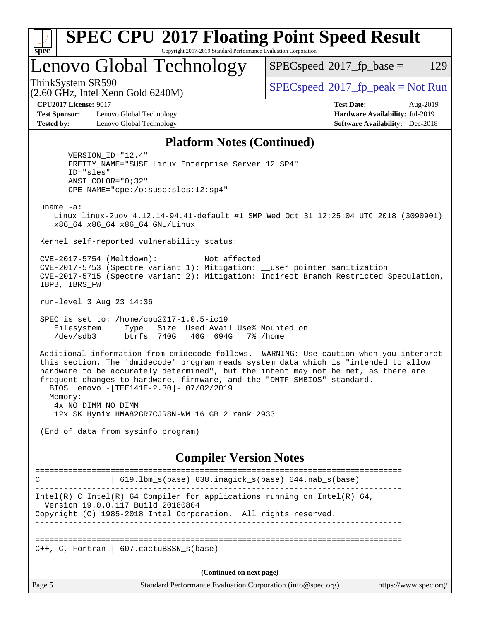| ×.<br>Ľ<br>ı |  |  |  |  |  |
|--------------|--|--|--|--|--|

#### **[SPEC CPU](http://www.spec.org/auto/cpu2017/Docs/result-fields.html#SPECCPU2017FloatingPointSpeedResult)[2017 Floating Point Speed Result](http://www.spec.org/auto/cpu2017/Docs/result-fields.html#SPECCPU2017FloatingPointSpeedResult)** Copyright 2017-2019 Standard Performance Evaluation Corporation

Lenovo Global Technology

 $SPECspeed^{\circledcirc}2017_fp\_base = 129$  $SPECspeed^{\circledcirc}2017_fp\_base = 129$ 

(2.60 GHz, Intel Xeon Gold 6240M)

ThinkSystem SR590<br>  $SPECspeed*2017_fp\_peak = Not Run$  $SPECspeed*2017_fp\_peak = Not Run$ 

**[Test Sponsor:](http://www.spec.org/auto/cpu2017/Docs/result-fields.html#TestSponsor)** Lenovo Global Technology **[Hardware Availability:](http://www.spec.org/auto/cpu2017/Docs/result-fields.html#HardwareAvailability)** Jul-2019 **[Tested by:](http://www.spec.org/auto/cpu2017/Docs/result-fields.html#Testedby)** Lenovo Global Technology **[Software Availability:](http://www.spec.org/auto/cpu2017/Docs/result-fields.html#SoftwareAvailability)** Dec-2018

**[CPU2017 License:](http://www.spec.org/auto/cpu2017/Docs/result-fields.html#CPU2017License)** 9017 **[Test Date:](http://www.spec.org/auto/cpu2017/Docs/result-fields.html#TestDate)** Aug-2019

#### **[Platform Notes \(Continued\)](http://www.spec.org/auto/cpu2017/Docs/result-fields.html#PlatformNotes)**

 VERSION\_ID="12.4" PRETTY\_NAME="SUSE Linux Enterprise Server 12 SP4" ID="sles" ANSI\_COLOR="0;32" CPE\_NAME="cpe:/o:suse:sles:12:sp4"

uname -a:

 Linux linux-2uov 4.12.14-94.41-default #1 SMP Wed Oct 31 12:25:04 UTC 2018 (3090901) x86\_64 x86\_64 x86\_64 GNU/Linux

Kernel self-reported vulnerability status:

 CVE-2017-5754 (Meltdown): Not affected CVE-2017-5753 (Spectre variant 1): Mitigation: \_\_user pointer sanitization CVE-2017-5715 (Spectre variant 2): Mitigation: Indirect Branch Restricted Speculation, IBPB, IBRS\_FW

run-level 3 Aug 23 14:36

 SPEC is set to: /home/cpu2017-1.0.5-ic19 Filesystem Type Size Used Avail Use% Mounted on /dev/sdb3 btrfs 740G 46G 694G 7% /home

 Additional information from dmidecode follows. WARNING: Use caution when you interpret this section. The 'dmidecode' program reads system data which is "intended to allow hardware to be accurately determined", but the intent may not be met, as there are frequent changes to hardware, firmware, and the "DMTF SMBIOS" standard. BIOS Lenovo -[TEE141E-2.30]- 07/02/2019 Memory: 4x NO DIMM NO DIMM 12x SK Hynix HMA82GR7CJR8N-WM 16 GB 2 rank 2933

(End of data from sysinfo program)

#### **[Compiler Version Notes](http://www.spec.org/auto/cpu2017/Docs/result-fields.html#CompilerVersionNotes)**

============================================================================== C | 619.lbm\_s(base) 638.imagick\_s(base) 644.nab\_s(base) ------------------------------------------------------------------------------ Intel(R) C Intel(R) 64 Compiler for applications running on Intel(R)  $64$ , Version 19.0.0.117 Build 20180804 Copyright (C) 1985-2018 Intel Corporation. All rights reserved. ------------------------------------------------------------------------------ ==============================================================================  $C_{++}$ , C, Fortran | 607.cactuBSSN s(base) **(Continued on next page)**

Page 5 Standard Performance Evaluation Corporation [\(info@spec.org\)](mailto:info@spec.org) <https://www.spec.org/>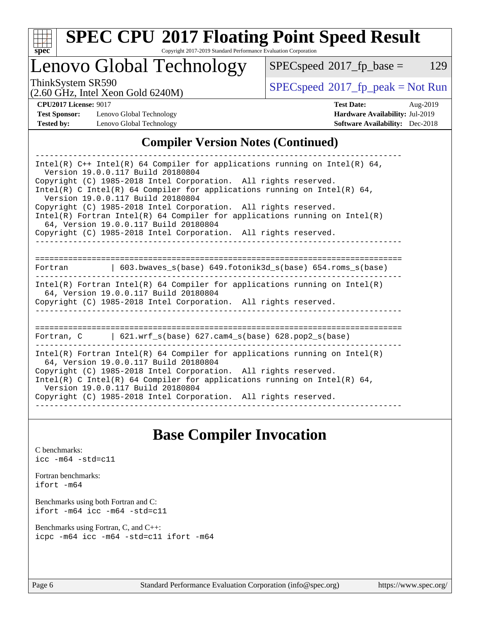

# **[SPEC CPU](http://www.spec.org/auto/cpu2017/Docs/result-fields.html#SPECCPU2017FloatingPointSpeedResult)[2017 Floating Point Speed Result](http://www.spec.org/auto/cpu2017/Docs/result-fields.html#SPECCPU2017FloatingPointSpeedResult)**

Copyright 2017-2019 Standard Performance Evaluation Corporation

Lenovo Global Technology

 $SPECspeed*2017_fp\_base = 129$  $SPECspeed*2017_fp\_base = 129$ 

(2.60 GHz, Intel Xeon Gold 6240M)

ThinkSystem SR590<br>  $\begin{array}{c}\n\text{SPEC speed} \text{?}2017\_fp\_peak = Not Run \\
\text{C} \text{?}60 \text{ GHz} \text{.} \text{I} \text{.} \text{V} \text{.} \text{C} \text{?} \text{.} \text{C} \text{.} \text{C} \text{.} \text{C} \text{.} \text{.} \text{C} \text{.} \text{.} \text{C} \text{.} \text{C} \text{.} \text{.} \text{C} \text{.} \text{.} \text{C} \text{.} \text{.} \text{C} \text$ 

**[Test Sponsor:](http://www.spec.org/auto/cpu2017/Docs/result-fields.html#TestSponsor)** Lenovo Global Technology **[Hardware Availability:](http://www.spec.org/auto/cpu2017/Docs/result-fields.html#HardwareAvailability)** Jul-2019 **[Tested by:](http://www.spec.org/auto/cpu2017/Docs/result-fields.html#Testedby)** Lenovo Global Technology **[Software Availability:](http://www.spec.org/auto/cpu2017/Docs/result-fields.html#SoftwareAvailability)** Dec-2018

**[CPU2017 License:](http://www.spec.org/auto/cpu2017/Docs/result-fields.html#CPU2017License)** 9017 **[Test Date:](http://www.spec.org/auto/cpu2017/Docs/result-fields.html#TestDate)** Aug-2019

#### **[Compiler Version Notes \(Continued\)](http://www.spec.org/auto/cpu2017/Docs/result-fields.html#CompilerVersionNotes)**

| Intel(R) $C++$ Intel(R) 64 Compiler for applications running on Intel(R) 64,<br>Version 19.0.0.117 Build 20180804<br>Copyright (C) 1985-2018 Intel Corporation. All rights reserved.     |  |  |  |  |  |  |
|------------------------------------------------------------------------------------------------------------------------------------------------------------------------------------------|--|--|--|--|--|--|
| Intel(R) C Intel(R) 64 Compiler for applications running on Intel(R) 64,<br>Version 19.0.0.117 Build 20180804                                                                            |  |  |  |  |  |  |
| Copyright (C) 1985-2018 Intel Corporation. All rights reserved.<br>$Intel(R)$ Fortran Intel(R) 64 Compiler for applications running on Intel(R)<br>64, Version 19.0.0.117 Build 20180804 |  |  |  |  |  |  |
| Copyright (C) 1985-2018 Intel Corporation. All rights reserved.                                                                                                                          |  |  |  |  |  |  |
|                                                                                                                                                                                          |  |  |  |  |  |  |
| $\vert$ 603.bwaves_s(base) 649.fotonik3d_s(base) 654.roms_s(base)<br>Fortran                                                                                                             |  |  |  |  |  |  |
| Intel(R) Fortran Intel(R) 64 Compiler for applications running on Intel(R)<br>64, Version 19.0.0.117 Build 20180804<br>Copyright (C) 1985-2018 Intel Corporation. All rights reserved.   |  |  |  |  |  |  |
|                                                                                                                                                                                          |  |  |  |  |  |  |
| Fortran, $C = \{621. \text{wrf s}(\text{base}) \}$ 627. cam4 s(base) 628. pop2 s(base)                                                                                                   |  |  |  |  |  |  |
| Intel(R) Fortran Intel(R) 64 Compiler for applications running on Intel(R)<br>64, Version 19.0.0.117 Build 20180804                                                                      |  |  |  |  |  |  |
| Copyright (C) 1985-2018 Intel Corporation. All rights reserved.<br>Intel(R) C Intel(R) 64 Compiler for applications running on Intel(R) 64,<br>Version 19.0.0.117 Build 20180804         |  |  |  |  |  |  |
| Copyright (C) 1985-2018 Intel Corporation. All rights reserved.                                                                                                                          |  |  |  |  |  |  |

## **[Base Compiler Invocation](http://www.spec.org/auto/cpu2017/Docs/result-fields.html#BaseCompilerInvocation)**

[C benchmarks](http://www.spec.org/auto/cpu2017/Docs/result-fields.html#Cbenchmarks): [icc -m64 -std=c11](http://www.spec.org/cpu2017/results/res2019q3/cpu2017-20190902-17451.flags.html#user_CCbase_intel_icc_64bit_c11_33ee0cdaae7deeeab2a9725423ba97205ce30f63b9926c2519791662299b76a0318f32ddfffdc46587804de3178b4f9328c46fa7c2b0cd779d7a61945c91cd35)

[Fortran benchmarks](http://www.spec.org/auto/cpu2017/Docs/result-fields.html#Fortranbenchmarks): [ifort -m64](http://www.spec.org/cpu2017/results/res2019q3/cpu2017-20190902-17451.flags.html#user_FCbase_intel_ifort_64bit_24f2bb282fbaeffd6157abe4f878425411749daecae9a33200eee2bee2fe76f3b89351d69a8130dd5949958ce389cf37ff59a95e7a40d588e8d3a57e0c3fd751)

[Benchmarks using both Fortran and C](http://www.spec.org/auto/cpu2017/Docs/result-fields.html#BenchmarksusingbothFortranandC): [ifort -m64](http://www.spec.org/cpu2017/results/res2019q3/cpu2017-20190902-17451.flags.html#user_CC_FCbase_intel_ifort_64bit_24f2bb282fbaeffd6157abe4f878425411749daecae9a33200eee2bee2fe76f3b89351d69a8130dd5949958ce389cf37ff59a95e7a40d588e8d3a57e0c3fd751) [icc -m64 -std=c11](http://www.spec.org/cpu2017/results/res2019q3/cpu2017-20190902-17451.flags.html#user_CC_FCbase_intel_icc_64bit_c11_33ee0cdaae7deeeab2a9725423ba97205ce30f63b9926c2519791662299b76a0318f32ddfffdc46587804de3178b4f9328c46fa7c2b0cd779d7a61945c91cd35)

[Benchmarks using Fortran, C, and C++:](http://www.spec.org/auto/cpu2017/Docs/result-fields.html#BenchmarksusingFortranCandCXX) [icpc -m64](http://www.spec.org/cpu2017/results/res2019q3/cpu2017-20190902-17451.flags.html#user_CC_CXX_FCbase_intel_icpc_64bit_4ecb2543ae3f1412ef961e0650ca070fec7b7afdcd6ed48761b84423119d1bf6bdf5cad15b44d48e7256388bc77273b966e5eb805aefd121eb22e9299b2ec9d9) [icc -m64 -std=c11](http://www.spec.org/cpu2017/results/res2019q3/cpu2017-20190902-17451.flags.html#user_CC_CXX_FCbase_intel_icc_64bit_c11_33ee0cdaae7deeeab2a9725423ba97205ce30f63b9926c2519791662299b76a0318f32ddfffdc46587804de3178b4f9328c46fa7c2b0cd779d7a61945c91cd35) [ifort -m64](http://www.spec.org/cpu2017/results/res2019q3/cpu2017-20190902-17451.flags.html#user_CC_CXX_FCbase_intel_ifort_64bit_24f2bb282fbaeffd6157abe4f878425411749daecae9a33200eee2bee2fe76f3b89351d69a8130dd5949958ce389cf37ff59a95e7a40d588e8d3a57e0c3fd751)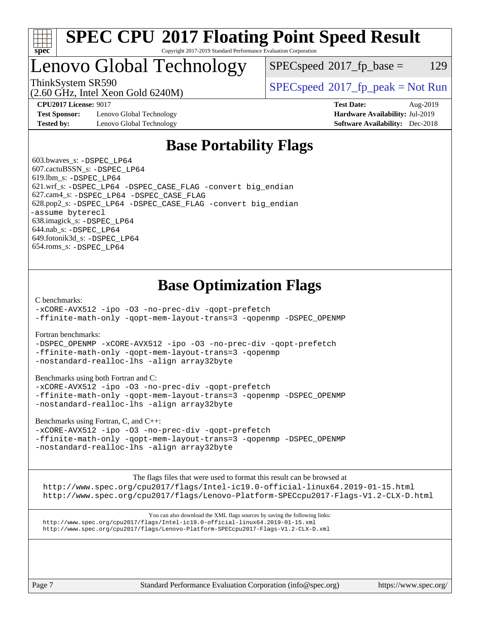

#### **[SPEC CPU](http://www.spec.org/auto/cpu2017/Docs/result-fields.html#SPECCPU2017FloatingPointSpeedResult)[2017 Floating Point Speed Result](http://www.spec.org/auto/cpu2017/Docs/result-fields.html#SPECCPU2017FloatingPointSpeedResult)** Copyright 2017-2019 Standard Performance Evaluation Corporation

## Lenovo Global Technology

 $SPEC speed^{\circ}2017\_fp\_base = 129$ 

(2.60 GHz, Intel Xeon Gold 6240M)

ThinkSystem SR590<br>  $SPECspeed*2017_fp\_peak = Not Run$  $SPECspeed*2017_fp\_peak = Not Run$ 

**[Test Sponsor:](http://www.spec.org/auto/cpu2017/Docs/result-fields.html#TestSponsor)** Lenovo Global Technology **[Hardware Availability:](http://www.spec.org/auto/cpu2017/Docs/result-fields.html#HardwareAvailability)** Jul-2019 **[Tested by:](http://www.spec.org/auto/cpu2017/Docs/result-fields.html#Testedby)** Lenovo Global Technology **[Software Availability:](http://www.spec.org/auto/cpu2017/Docs/result-fields.html#SoftwareAvailability)** Dec-2018

**[CPU2017 License:](http://www.spec.org/auto/cpu2017/Docs/result-fields.html#CPU2017License)** 9017 **[Test Date:](http://www.spec.org/auto/cpu2017/Docs/result-fields.html#TestDate)** Aug-2019

## **[Base Portability Flags](http://www.spec.org/auto/cpu2017/Docs/result-fields.html#BasePortabilityFlags)**

 603.bwaves\_s: [-DSPEC\\_LP64](http://www.spec.org/cpu2017/results/res2019q3/cpu2017-20190902-17451.flags.html#suite_basePORTABILITY603_bwaves_s_DSPEC_LP64) 607.cactuBSSN\_s: [-DSPEC\\_LP64](http://www.spec.org/cpu2017/results/res2019q3/cpu2017-20190902-17451.flags.html#suite_basePORTABILITY607_cactuBSSN_s_DSPEC_LP64) 619.lbm\_s: [-DSPEC\\_LP64](http://www.spec.org/cpu2017/results/res2019q3/cpu2017-20190902-17451.flags.html#suite_basePORTABILITY619_lbm_s_DSPEC_LP64) 621.wrf\_s: [-DSPEC\\_LP64](http://www.spec.org/cpu2017/results/res2019q3/cpu2017-20190902-17451.flags.html#suite_basePORTABILITY621_wrf_s_DSPEC_LP64) [-DSPEC\\_CASE\\_FLAG](http://www.spec.org/cpu2017/results/res2019q3/cpu2017-20190902-17451.flags.html#b621.wrf_s_baseCPORTABILITY_DSPEC_CASE_FLAG) [-convert big\\_endian](http://www.spec.org/cpu2017/results/res2019q3/cpu2017-20190902-17451.flags.html#user_baseFPORTABILITY621_wrf_s_convert_big_endian_c3194028bc08c63ac5d04de18c48ce6d347e4e562e8892b8bdbdc0214820426deb8554edfa529a3fb25a586e65a3d812c835984020483e7e73212c4d31a38223) 627.cam4\_s: [-DSPEC\\_LP64](http://www.spec.org/cpu2017/results/res2019q3/cpu2017-20190902-17451.flags.html#suite_basePORTABILITY627_cam4_s_DSPEC_LP64) [-DSPEC\\_CASE\\_FLAG](http://www.spec.org/cpu2017/results/res2019q3/cpu2017-20190902-17451.flags.html#b627.cam4_s_baseCPORTABILITY_DSPEC_CASE_FLAG) 628.pop2\_s: [-DSPEC\\_LP64](http://www.spec.org/cpu2017/results/res2019q3/cpu2017-20190902-17451.flags.html#suite_basePORTABILITY628_pop2_s_DSPEC_LP64) [-DSPEC\\_CASE\\_FLAG](http://www.spec.org/cpu2017/results/res2019q3/cpu2017-20190902-17451.flags.html#b628.pop2_s_baseCPORTABILITY_DSPEC_CASE_FLAG) [-convert big\\_endian](http://www.spec.org/cpu2017/results/res2019q3/cpu2017-20190902-17451.flags.html#user_baseFPORTABILITY628_pop2_s_convert_big_endian_c3194028bc08c63ac5d04de18c48ce6d347e4e562e8892b8bdbdc0214820426deb8554edfa529a3fb25a586e65a3d812c835984020483e7e73212c4d31a38223) [-assume byterecl](http://www.spec.org/cpu2017/results/res2019q3/cpu2017-20190902-17451.flags.html#user_baseFPORTABILITY628_pop2_s_assume_byterecl_7e47d18b9513cf18525430bbf0f2177aa9bf368bc7a059c09b2c06a34b53bd3447c950d3f8d6c70e3faf3a05c8557d66a5798b567902e8849adc142926523472) 638.imagick\_s: [-DSPEC\\_LP64](http://www.spec.org/cpu2017/results/res2019q3/cpu2017-20190902-17451.flags.html#suite_basePORTABILITY638_imagick_s_DSPEC_LP64) 644.nab\_s: [-DSPEC\\_LP64](http://www.spec.org/cpu2017/results/res2019q3/cpu2017-20190902-17451.flags.html#suite_basePORTABILITY644_nab_s_DSPEC_LP64) 649.fotonik3d\_s: [-DSPEC\\_LP64](http://www.spec.org/cpu2017/results/res2019q3/cpu2017-20190902-17451.flags.html#suite_basePORTABILITY649_fotonik3d_s_DSPEC_LP64) 654.roms\_s: [-DSPEC\\_LP64](http://www.spec.org/cpu2017/results/res2019q3/cpu2017-20190902-17451.flags.html#suite_basePORTABILITY654_roms_s_DSPEC_LP64)

## **[Base Optimization Flags](http://www.spec.org/auto/cpu2017/Docs/result-fields.html#BaseOptimizationFlags)**

[C benchmarks](http://www.spec.org/auto/cpu2017/Docs/result-fields.html#Cbenchmarks):

[-xCORE-AVX512](http://www.spec.org/cpu2017/results/res2019q3/cpu2017-20190902-17451.flags.html#user_CCbase_f-xCORE-AVX512) [-ipo](http://www.spec.org/cpu2017/results/res2019q3/cpu2017-20190902-17451.flags.html#user_CCbase_f-ipo) [-O3](http://www.spec.org/cpu2017/results/res2019q3/cpu2017-20190902-17451.flags.html#user_CCbase_f-O3) [-no-prec-div](http://www.spec.org/cpu2017/results/res2019q3/cpu2017-20190902-17451.flags.html#user_CCbase_f-no-prec-div) [-qopt-prefetch](http://www.spec.org/cpu2017/results/res2019q3/cpu2017-20190902-17451.flags.html#user_CCbase_f-qopt-prefetch) [-ffinite-math-only](http://www.spec.org/cpu2017/results/res2019q3/cpu2017-20190902-17451.flags.html#user_CCbase_f_finite_math_only_cb91587bd2077682c4b38af759c288ed7c732db004271a9512da14a4f8007909a5f1427ecbf1a0fb78ff2a814402c6114ac565ca162485bbcae155b5e4258871) [-qopt-mem-layout-trans=3](http://www.spec.org/cpu2017/results/res2019q3/cpu2017-20190902-17451.flags.html#user_CCbase_f-qopt-mem-layout-trans_de80db37974c74b1f0e20d883f0b675c88c3b01e9d123adea9b28688d64333345fb62bc4a798493513fdb68f60282f9a726aa07f478b2f7113531aecce732043) [-qopenmp](http://www.spec.org/cpu2017/results/res2019q3/cpu2017-20190902-17451.flags.html#user_CCbase_qopenmp_16be0c44f24f464004c6784a7acb94aca937f053568ce72f94b139a11c7c168634a55f6653758ddd83bcf7b8463e8028bb0b48b77bcddc6b78d5d95bb1df2967) [-DSPEC\\_OPENMP](http://www.spec.org/cpu2017/results/res2019q3/cpu2017-20190902-17451.flags.html#suite_CCbase_DSPEC_OPENMP)

[Fortran benchmarks](http://www.spec.org/auto/cpu2017/Docs/result-fields.html#Fortranbenchmarks):

[-DSPEC\\_OPENMP](http://www.spec.org/cpu2017/results/res2019q3/cpu2017-20190902-17451.flags.html#suite_FCbase_DSPEC_OPENMP) [-xCORE-AVX512](http://www.spec.org/cpu2017/results/res2019q3/cpu2017-20190902-17451.flags.html#user_FCbase_f-xCORE-AVX512) [-ipo](http://www.spec.org/cpu2017/results/res2019q3/cpu2017-20190902-17451.flags.html#user_FCbase_f-ipo) [-O3](http://www.spec.org/cpu2017/results/res2019q3/cpu2017-20190902-17451.flags.html#user_FCbase_f-O3) [-no-prec-div](http://www.spec.org/cpu2017/results/res2019q3/cpu2017-20190902-17451.flags.html#user_FCbase_f-no-prec-div) [-qopt-prefetch](http://www.spec.org/cpu2017/results/res2019q3/cpu2017-20190902-17451.flags.html#user_FCbase_f-qopt-prefetch) [-ffinite-math-only](http://www.spec.org/cpu2017/results/res2019q3/cpu2017-20190902-17451.flags.html#user_FCbase_f_finite_math_only_cb91587bd2077682c4b38af759c288ed7c732db004271a9512da14a4f8007909a5f1427ecbf1a0fb78ff2a814402c6114ac565ca162485bbcae155b5e4258871) [-qopt-mem-layout-trans=3](http://www.spec.org/cpu2017/results/res2019q3/cpu2017-20190902-17451.flags.html#user_FCbase_f-qopt-mem-layout-trans_de80db37974c74b1f0e20d883f0b675c88c3b01e9d123adea9b28688d64333345fb62bc4a798493513fdb68f60282f9a726aa07f478b2f7113531aecce732043) [-qopenmp](http://www.spec.org/cpu2017/results/res2019q3/cpu2017-20190902-17451.flags.html#user_FCbase_qopenmp_16be0c44f24f464004c6784a7acb94aca937f053568ce72f94b139a11c7c168634a55f6653758ddd83bcf7b8463e8028bb0b48b77bcddc6b78d5d95bb1df2967) [-nostandard-realloc-lhs](http://www.spec.org/cpu2017/results/res2019q3/cpu2017-20190902-17451.flags.html#user_FCbase_f_2003_std_realloc_82b4557e90729c0f113870c07e44d33d6f5a304b4f63d4c15d2d0f1fab99f5daaed73bdb9275d9ae411527f28b936061aa8b9c8f2d63842963b95c9dd6426b8a) [-align array32byte](http://www.spec.org/cpu2017/results/res2019q3/cpu2017-20190902-17451.flags.html#user_FCbase_align_array32byte_b982fe038af199962ba9a80c053b8342c548c85b40b8e86eb3cc33dee0d7986a4af373ac2d51c3f7cf710a18d62fdce2948f201cd044323541f22fc0fffc51b6)

[Benchmarks using both Fortran and C](http://www.spec.org/auto/cpu2017/Docs/result-fields.html#BenchmarksusingbothFortranandC):

[-xCORE-AVX512](http://www.spec.org/cpu2017/results/res2019q3/cpu2017-20190902-17451.flags.html#user_CC_FCbase_f-xCORE-AVX512) [-ipo](http://www.spec.org/cpu2017/results/res2019q3/cpu2017-20190902-17451.flags.html#user_CC_FCbase_f-ipo) [-O3](http://www.spec.org/cpu2017/results/res2019q3/cpu2017-20190902-17451.flags.html#user_CC_FCbase_f-O3) [-no-prec-div](http://www.spec.org/cpu2017/results/res2019q3/cpu2017-20190902-17451.flags.html#user_CC_FCbase_f-no-prec-div) [-qopt-prefetch](http://www.spec.org/cpu2017/results/res2019q3/cpu2017-20190902-17451.flags.html#user_CC_FCbase_f-qopt-prefetch) [-ffinite-math-only](http://www.spec.org/cpu2017/results/res2019q3/cpu2017-20190902-17451.flags.html#user_CC_FCbase_f_finite_math_only_cb91587bd2077682c4b38af759c288ed7c732db004271a9512da14a4f8007909a5f1427ecbf1a0fb78ff2a814402c6114ac565ca162485bbcae155b5e4258871) [-qopt-mem-layout-trans=3](http://www.spec.org/cpu2017/results/res2019q3/cpu2017-20190902-17451.flags.html#user_CC_FCbase_f-qopt-mem-layout-trans_de80db37974c74b1f0e20d883f0b675c88c3b01e9d123adea9b28688d64333345fb62bc4a798493513fdb68f60282f9a726aa07f478b2f7113531aecce732043) [-qopenmp](http://www.spec.org/cpu2017/results/res2019q3/cpu2017-20190902-17451.flags.html#user_CC_FCbase_qopenmp_16be0c44f24f464004c6784a7acb94aca937f053568ce72f94b139a11c7c168634a55f6653758ddd83bcf7b8463e8028bb0b48b77bcddc6b78d5d95bb1df2967) [-DSPEC\\_OPENMP](http://www.spec.org/cpu2017/results/res2019q3/cpu2017-20190902-17451.flags.html#suite_CC_FCbase_DSPEC_OPENMP) [-nostandard-realloc-lhs](http://www.spec.org/cpu2017/results/res2019q3/cpu2017-20190902-17451.flags.html#user_CC_FCbase_f_2003_std_realloc_82b4557e90729c0f113870c07e44d33d6f5a304b4f63d4c15d2d0f1fab99f5daaed73bdb9275d9ae411527f28b936061aa8b9c8f2d63842963b95c9dd6426b8a) [-align array32byte](http://www.spec.org/cpu2017/results/res2019q3/cpu2017-20190902-17451.flags.html#user_CC_FCbase_align_array32byte_b982fe038af199962ba9a80c053b8342c548c85b40b8e86eb3cc33dee0d7986a4af373ac2d51c3f7cf710a18d62fdce2948f201cd044323541f22fc0fffc51b6)

[Benchmarks using Fortran, C, and C++:](http://www.spec.org/auto/cpu2017/Docs/result-fields.html#BenchmarksusingFortranCandCXX)

[-xCORE-AVX512](http://www.spec.org/cpu2017/results/res2019q3/cpu2017-20190902-17451.flags.html#user_CC_CXX_FCbase_f-xCORE-AVX512) [-ipo](http://www.spec.org/cpu2017/results/res2019q3/cpu2017-20190902-17451.flags.html#user_CC_CXX_FCbase_f-ipo) [-O3](http://www.spec.org/cpu2017/results/res2019q3/cpu2017-20190902-17451.flags.html#user_CC_CXX_FCbase_f-O3) [-no-prec-div](http://www.spec.org/cpu2017/results/res2019q3/cpu2017-20190902-17451.flags.html#user_CC_CXX_FCbase_f-no-prec-div) [-qopt-prefetch](http://www.spec.org/cpu2017/results/res2019q3/cpu2017-20190902-17451.flags.html#user_CC_CXX_FCbase_f-qopt-prefetch) [-ffinite-math-only](http://www.spec.org/cpu2017/results/res2019q3/cpu2017-20190902-17451.flags.html#user_CC_CXX_FCbase_f_finite_math_only_cb91587bd2077682c4b38af759c288ed7c732db004271a9512da14a4f8007909a5f1427ecbf1a0fb78ff2a814402c6114ac565ca162485bbcae155b5e4258871) [-qopt-mem-layout-trans=3](http://www.spec.org/cpu2017/results/res2019q3/cpu2017-20190902-17451.flags.html#user_CC_CXX_FCbase_f-qopt-mem-layout-trans_de80db37974c74b1f0e20d883f0b675c88c3b01e9d123adea9b28688d64333345fb62bc4a798493513fdb68f60282f9a726aa07f478b2f7113531aecce732043) [-qopenmp](http://www.spec.org/cpu2017/results/res2019q3/cpu2017-20190902-17451.flags.html#user_CC_CXX_FCbase_qopenmp_16be0c44f24f464004c6784a7acb94aca937f053568ce72f94b139a11c7c168634a55f6653758ddd83bcf7b8463e8028bb0b48b77bcddc6b78d5d95bb1df2967) [-DSPEC\\_OPENMP](http://www.spec.org/cpu2017/results/res2019q3/cpu2017-20190902-17451.flags.html#suite_CC_CXX_FCbase_DSPEC_OPENMP) [-nostandard-realloc-lhs](http://www.spec.org/cpu2017/results/res2019q3/cpu2017-20190902-17451.flags.html#user_CC_CXX_FCbase_f_2003_std_realloc_82b4557e90729c0f113870c07e44d33d6f5a304b4f63d4c15d2d0f1fab99f5daaed73bdb9275d9ae411527f28b936061aa8b9c8f2d63842963b95c9dd6426b8a) [-align array32byte](http://www.spec.org/cpu2017/results/res2019q3/cpu2017-20190902-17451.flags.html#user_CC_CXX_FCbase_align_array32byte_b982fe038af199962ba9a80c053b8342c548c85b40b8e86eb3cc33dee0d7986a4af373ac2d51c3f7cf710a18d62fdce2948f201cd044323541f22fc0fffc51b6)

[The flags files that were used to format this result can be browsed at](tmsearch)

<http://www.spec.org/cpu2017/flags/Intel-ic19.0-official-linux64.2019-01-15.html> <http://www.spec.org/cpu2017/flags/Lenovo-Platform-SPECcpu2017-Flags-V1.2-CLX-D.html>

[You can also download the XML flags sources by saving the following links:](tmsearch) <http://www.spec.org/cpu2017/flags/Intel-ic19.0-official-linux64.2019-01-15.xml> <http://www.spec.org/cpu2017/flags/Lenovo-Platform-SPECcpu2017-Flags-V1.2-CLX-D.xml>